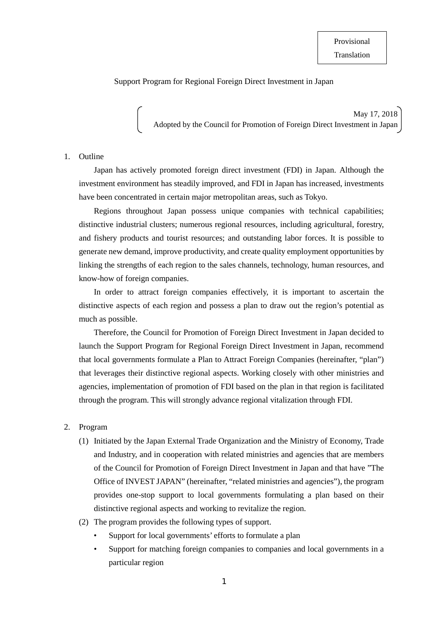## Support Program for Regional Foreign Direct Investment in Japan

May 17, 2018 Adopted by the Council for Promotion of Foreign Direct Investment in Japan

## 1. Outline

Japan has actively promoted foreign direct investment (FDI) in Japan. Although the investment environment has steadily improved, and FDI in Japan has increased, investments have been concentrated in certain major metropolitan areas, such as Tokyo.

Regions throughout Japan possess unique companies with technical capabilities; distinctive industrial clusters; numerous regional resources, including agricultural, forestry, and fishery products and tourist resources; and outstanding labor forces. It is possible to generate new demand, improve productivity, and create quality employment opportunities by linking the strengths of each region to the sales channels, technology, human resources, and know-how of foreign companies.

In order to attract foreign companies effectively, it is important to ascertain the distinctive aspects of each region and possess a plan to draw out the region's potential as much as possible.

Therefore, the Council for Promotion of Foreign Direct Investment in Japan decided to launch the Support Program for Regional Foreign Direct Investment in Japan, recommend that local governments formulate a Plan to Attract Foreign Companies (hereinafter, "plan") that leverages their distinctive regional aspects. Working closely with other ministries and agencies, implementation of promotion of FDI based on the plan in that region is facilitated through the program. This will strongly advance regional vitalization through FDI.

## 2. Program

- (1) Initiated by the Japan External Trade Organization and the Ministry of Economy, Trade and Industry, and in cooperation with related ministries and agencies that are members of the Council for Promotion of Foreign Direct Investment in Japan and that have "The Office of INVEST JAPAN" (hereinafter, "related ministries and agencies"), the program provides one-stop support to local governments formulating a plan based on their distinctive regional aspects and working to revitalize the region.
- (2) The program provides the following types of support.
	- Support for local governments' efforts to formulate a plan
	- Support for matching foreign companies to companies and local governments in a particular region